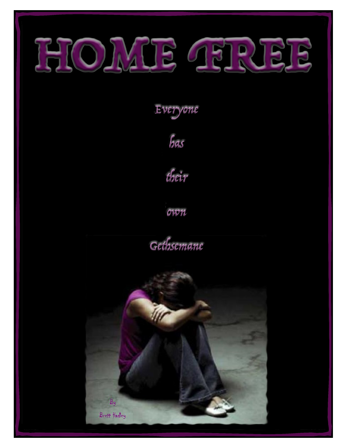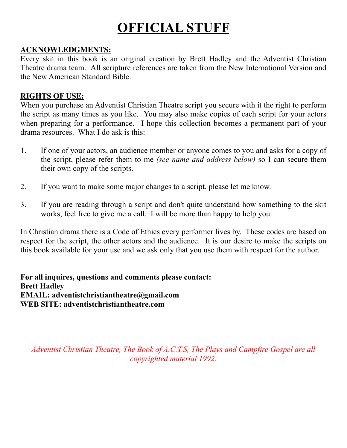# **OFFICIAL STUFF**

## **ACKNOWLEDGMENTS:**

Every skit in this book is an original creation by Brett Hadley and the Adventist Christian Theatre drama team. All scripture references are taken from the New International Version and the New American Standard Bible.

## **RIGHTS OF USE:**

When you purchase an Adventist Christian Theatre script you secure with it the right to perform the script as many times as you like. You may also make copies of each script for your actors when preparing for a performance. I hope this collection becomes a permanent part of your drama resources. What I do ask is this:

- 1. If one of your actors, an audience member or anyone comes to you and asks for a copy of the script, please refer them to me *(see name and address below)* so I can secure them their own copy of the scripts.
- 2. If you want to make some major changes to a script, please let me know.
- 3. If you are reading through a script and don't quite understand how something to the skit works, feel free to give me a call. I will be more than happy to help you.

In Christian drama there is a Code of Ethics every performer lives by. These codes are based on respect for the script, the other actors and the audience. It is our desire to make the scripts on this book available for your use and we ask only that you use them with respect for the author.

**For all inquires, questions and comments please contact: Brett Hadley EMAIL: adventistchristiantheatre@gmail.com WEB SITE: adventistchristiantheatre.com**

*Adventist Christian Theatre, The Book of A.C.T.S, The Plays and Campfire Gospel are all copyrighted material 1992.*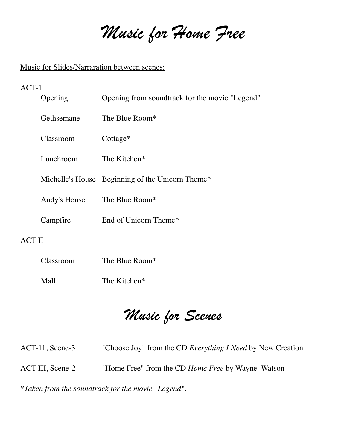*Music for Home Free*

## Music for Slides/Narraration between scenes:

## ACT-1

|               | Opening                     | Opening from soundtrack for the movie "Legend"   |  |  |  |  |
|---------------|-----------------------------|--------------------------------------------------|--|--|--|--|
|               | Gethsemane                  | The Blue Room*                                   |  |  |  |  |
|               | Classroom                   | Cottage*                                         |  |  |  |  |
|               | Lunchroom                   | The Kitchen*                                     |  |  |  |  |
|               |                             | Michelle's House Beginning of the Unicorn Theme* |  |  |  |  |
|               | Andy's House The Blue Room* |                                                  |  |  |  |  |
|               | Campfire                    | End of Unicorn Theme*                            |  |  |  |  |
| <b>ACT-II</b> |                             |                                                  |  |  |  |  |
|               | Classroom                   | The Blue Room*                                   |  |  |  |  |
|               | Mall                        | The Kitchen*                                     |  |  |  |  |

*Music for Scenes*

| $ACT-11$ , Scene-3                                 | "Choose Joy" from the CD Everything I Need by New Creation |  |  |  |  |
|----------------------------------------------------|------------------------------------------------------------|--|--|--|--|
| $ACT-III, Secne-2$                                 | "Home Free" from the CD <i>Home Free</i> by Wayne Watson   |  |  |  |  |
| *Taken from the soundtrack for the movie "Legend". |                                                            |  |  |  |  |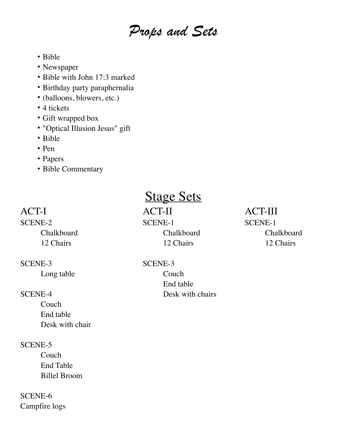# *Props and Sets*

- Bible
- Newspaper
- Bible with John 17:3 marked
- Birthday party paraphernalia
- (balloons, blowers, etc.)
- 4 tickets
- Gift wrapped box
- "Optical Illusion Jesus" gift
- Bible
- Pen
- Papers
- Bible Commentary

### SCENE-3 SCENE-3

**Couch** End table Desk with chair

### SCENE-5

Couch End Table Billel Broom

SCENE-6 Campfire logs

# **Stage Sets**

ACT-I ACT-II ACT-III SCENE-2 SCENE-1 SCENE-1 12 Chairs 12 Chairs 12 Chairs 12 Chairs 12 Chairs

Long table Couch End table SCENE-4 Desk with chairs

Chalkboard Chalkboard Chalkboard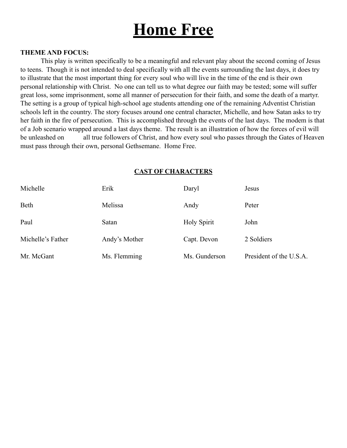# **Home Free**

#### **THEME AND FOCUS:**

This play is written specifically to be a meaningful and relevant play about the second coming of Jesus to teens. Though it is not intended to deal specifically with all the events surrounding the last days, it does try to illustrate that the most important thing for every soul who will live in the time of the end is their own personal relationship with Christ. No one can tell us to what degree our faith may be tested; some will suffer great loss, some imprisonment, some all manner of persecution for their faith, and some the death of a martyr. The setting is a group of typical high-school age students attending one of the remaining Adventist Christian schools left in the country. The story focuses around one central character, Michelle, and how Satan asks to try her faith in the fire of persecution. This is accomplished through the events of the last days. The modem is that of a Job scenario wrapped around a last days theme. The result is an illustration of how the forces of evil will be unleashed on all true followers of Christ, and how every soul who passes through the Gates of Heaven must pass through their own, personal Gethsemane. Home Free.

#### **CAST OF CHARACTERS**

| Michelle          | Erik          | Daryl              | Jesus                   |
|-------------------|---------------|--------------------|-------------------------|
| Beth              | Melissa       | Andy               | Peter                   |
| Paul              | Satan         | <b>Holy Spirit</b> | John                    |
| Michelle's Father | Andy's Mother | Capt. Devon        | 2 Soldiers              |
| Mr. McGant        | Ms. Flemming  | Ms. Gunderson      | President of the U.S.A. |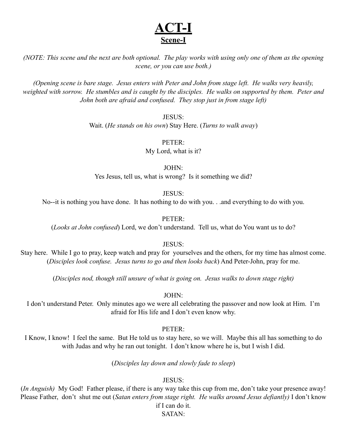# **ACT-I Scene-I**

*(NOTE: This scene and the next are both optional. The play works with using only one of them as the opening scene, or you can use both.)*

*(Opening scene is bare stage. Jesus enters with Peter and John from stage left. He walks very heavily, weighted with sorrow. He stumbles and is caught by the disciples. He walks on supported by them. Peter and John both are afraid and confused. They stop just in from stage left)*

#### JESUS:

Wait. (*He stands on his own*) Stay Here. (*Turns to walk away*)

#### PETER:

My Lord, what is it?

JOHN: Yes Jesus, tell us, what is wrong? Is it something we did?

#### JESUS:

No--it is nothing you have done. It has nothing to do with you. . .and everything to do with you.

#### PETER:

(*Looks at John confused*) Lord, we don't understand. Tell us, what do You want us to do?

#### JESUS:

Stay here. While I go to pray, keep watch and pray for yourselves and the others, for my time has almost come. (*Disciples look confuse. Jesus turns to go and then looks back*) And Peter-John, pray for me.

(*Disciples nod, though still unsure of what is going on. Jesus walks to down stage right)*

#### JOHN:

I don't understand Peter. Only minutes ago we were all celebrating the passover and now look at Him. I'm afraid for His life and I don't even know why.

#### PETER:

I Know, I know! I feel the same. But He told us to stay here, so we will. Maybe this all has something to do with Judas and why he ran out tonight. I don't know where he is, but I wish I did.

(*Disciples lay down and slowly fade to sleep*)

#### JESUS:

(*In Anguish)* My God! Father please, if there is any way take this cup from me, don't take your presence away! Please Father, don't shut me out (*Satan enters from stage right. He walks around Jesus defiantly)* I don't know if I can do it.

#### SATAN: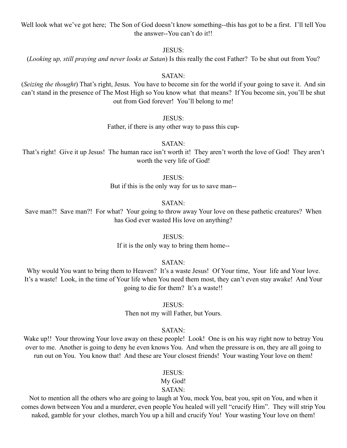Well look what we've got here; The Son of God doesn't know something--this has got to be a first. I'll tell You the answer--You can't do it!!

JESUS:

(*Looking up, still praying and never looks at Satan*) Is this really the cost Father? To be shut out from You?

SATAN:

(*Seizing the thought*) That's right, Jesus. You have to become sin for the world if your going to save it. And sin can't stand in the presence of The Most High so You know what that means? If You become sin, you'll be shut out from God forever! You'll belong to me!

JESUS:

Father, if there is any other way to pass this cup-

SATAN:

That's right! Give it up Jesus! The human race isn't worth it! They aren't worth the love of God! They aren't worth the very life of God!

JESUS:

But if this is the only way for us to save man--

#### SATAN:

Save man?! Save man?! For what? Your going to throw away Your love on these pathetic creatures? When has God ever wasted His love on anything?

#### JESUS:

If it is the only way to bring them home--

SATAN:

Why would You want to bring them to Heaven? It's a waste Jesus! Of Your time, Your life and Your love. It's a waste! Look, in the time of Your life when You need them most, they can't even stay awake! And Your going to die for them? It's a waste!!

JESUS:

Then not my will Father, but Yours.

#### SATAN:

Wake up!! Your throwing Your love away on these people! Look! One is on his way right now to betray You over to me. Another is going to deny he even knows You. And when the pressure is on, they are all going to run out on You. You know that! And these are Your closest friends! Your wasting Your love on them!

#### JESUS:

### My God!

### SATAN:

Not to mention all the others who are going to laugh at You, mock You, beat you, spit on You, and when it comes down between You and a murderer, even people You healed will yell "crucify Him". They will strip You naked, gamble for your clothes, march You up a hill and crucify You! Your wasting Your love on them!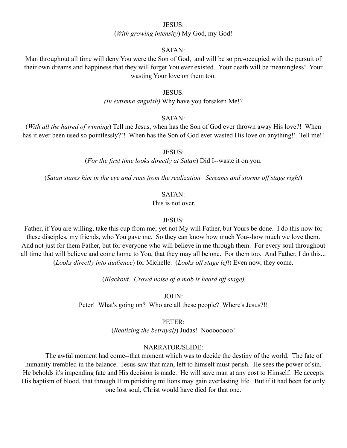#### JESUS:

#### (*With growing intensity*) My God, my God!

#### SATAN:

Man throughout all time will deny You were the Son of God, and will be so pre-occupied with the pursuit of their own dreams and happiness that they will forget You ever existed. Your death will be meaningless! Your wasting Your love on them too.

#### JESUS:

*(In extreme anguish)* Why have you forsaken Me!?

#### SATAN:

(*With all the hatred of winning*) Tell me Jesus, when has the Son of God ever thrown away His love?! When has it ever been used so pointlessly?!! When has the Son of God ever wasted His love on anything!! Tell me!!

JESUS:

(*For the first time looks directly at Satan*) Did I--waste it on you.

(*Satan stares him in the eye and runs from the realization. Screams and storms off stage right*)

#### SATAN:

This is not over.

#### JESUS:

Father, if You are willing, take this cup from me; yet not My will Father, but Yours be done. I do this now for these disciples, my friends, who You gave me. So they can know how much You--how much we love them. And not just for them Father, but for everyone who will believe in me through them. For every soul throughout all time that will believe and come home to You, that they may all be one. For them too. And Father, I do this... (*Looks directly into audience*) for Michelle. (*Looks off stage left*) Even now, they come.

(*Blackout. Crowd noise of a mob is heard off stage)*

JOHN:

Peter! What's going on? Who are all these people? Where's Jesus?!!

#### PETER:

(*Realizing the betrayal)*) Judas! Noooooooo!

#### NARRATOR/SLIDE:

The awful moment had come--that moment which was to decide the destiny of the world. The fate of humanity trembled in the balance. Jesus saw that man, left to himself must perish. He sees the power of sin. He beholds it's impending fate and His decision is made. He will save man at any cost to Himself. He accepts His baptism of blood, that through Him perishing millions may gain everlasting life. But if it had been for only one lost soul, Christ would have died for that one.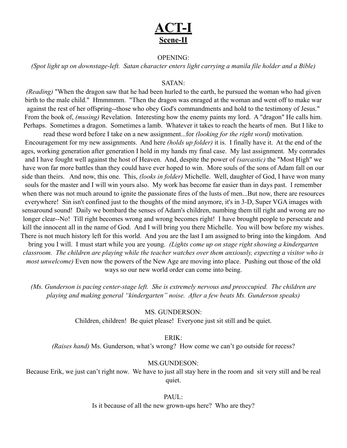# **ACT-I Scene-II**

#### OPENING:

*(Spot light up on downstage-left. Satan character enters light carrying a manila file holder and a Bible)*

#### SATAN:

*(Reading)* "When the dragon saw that he had been hurled to the earth, he pursued the woman who had given birth to the male child." Hmmmmm. "Then the dragon was enraged at the woman and went off to make war against the rest of her offspring--those who obey God's commandments and hold to the testimony of Jesus." From the book of, *(musing)* Revelation. Interesting how the enemy paints my lord. A "dragon" He calls him. Perhaps. Sometimes a dragon. Sometimes a lamb. Whatever it takes to reach the hearts of men. But I like to

read these word before I take on a new assignment...for *(looking for the right word)* motivation. Encouragement for my new assignments. And here *(holds up folder)* it is. I finally have it. At the end of the ages, working generation after generation I hold in my hands my final case. My last assignment. My comrades and I have fought well against the host of Heaven. And, despite the power of *(sarcastic)* the "Most High" we have won far more battles than they could have ever hoped to win. More souls of the sons of Adam fall on our side than theirs. And now, this one. This, *(looks in folder)* Michelle. Well, daughter of God, I have won many souls for the master and I will win yours also. My work has become far easier than in days past. I remember when there was not much around to ignite the passionate fires of the lusts of men...But now, there are resources everywhere! Sin isn't confined just to the thoughts of the mind anymore, it's in 3-D, Super VGA images with sensaround sound! Daily we bombard the senses of Adam's children, numbing them till right and wrong are no longer clear--No! Till right becomes wrong and wrong becomes right! I have brought people to persecute and kill the innocent all in the name of God. And I will bring you there Michelle. You will bow before my wishes. There is not much history left for this world. And you are the last I am assigned to bring into the kingdom. And

bring you I will. I must start while you are young. *(Lights come up on stage right showing a kindergarten classroom. The children are playing while the teacher watches over them anxiously, expecting a visitor who is most unwelcome)* Even now the powers of the New Age are moving into place. Pushing out those of the old ways so our new world order can come into being.

*(Ms. Gunderson is pacing center-stage left. She is extremely nervous and preoccupied. The children are playing and making general "kindergarten" noise. After a few beats Ms. Gunderson speaks)*

#### MS. GUNDERSON:

Children, children! Be quiet please! Everyone just sit still and be quiet.

ERIK:

*(Raises hand)* Ms. Gunderson, what's wrong? How come we can't go outside for recess?

#### MS.GUNDESON:

Because Erik, we just can't right now. We have to just all stay here in the room and sit very still and be real quiet.

#### PAUL:

Is it because of all the new grown-ups here? Who are they?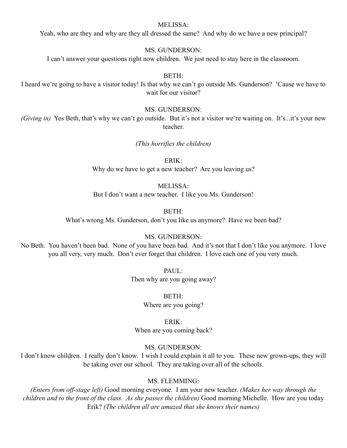#### MELISSA:

Yeah, who are they and why are they all dressed the same? And why do we have a new principal?

#### MS. GUNDERSON:

I can't answer your questions right now children. We just need to stay here in the classroom.

#### BETH:

I heard we're going to have a visitor today! Is that why we can't go outside Ms. Gunderson? 'Cause we have to wait for our visitor?

#### MS. GUNDERSON:

*(Giving in)* Yes Beth, that's why we can't go outside. But it's not a visitor we're waiting on. It's...it's your new teacher.

*(This horrifies the children)*

ERIK: Why do we have to get a new teacher? Are you leaving us?

#### MELISSA:

But I don't want a new teacher. I like you Ms. Gunderson!

BETH:

What's wrong Ms. Gunderson, don't you like us anymore? Have we been bad?

#### MS. GUNDERSON:

No Beth. You haven't been bad. None of you have been bad. And it's not that I don't like you anymore. I love you all very, very much. Don't ever forget that children. I love each one of you very much.

> PAUL: Then why are you going away?

> > BETH: Where are you going?

ERIK: When are you coming back?

#### MS. GUNDERSON:

I don't know children. I really don't know. I wish I could explain it all to you. These new grown-ups, they will be taking over our school. They are taking over all of the schools.

#### MS. FLEMMING:

*(Enters from off-stage left)* Good morning everyone. I am your new teacher. *(Makes her way through the children and to the front of the class. As she passes the children)* Good morning Michelle. How are you today Erik? *(The children all are amazed that she knows their names)*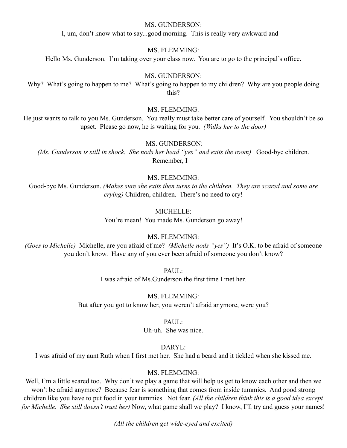#### MS. GUNDERSON:

I, um, don't know what to say...good morning. This is really very awkward and—

#### MS. FLEMMING:

Hello Ms. Gunderson. I'm taking over your class now. You are to go to the principal's office.

#### MS. GUNDERSON:

Why? What's going to happen to me? What's going to happen to my children? Why are you people doing this?

#### MS. FLEMMING:

He just wants to talk to you Ms. Gunderson. You really must take better care of yourself. You shouldn't be so upset. Please go now, he is waiting for you. *(Walks her to the door)* 

#### MS. GUNDERSON:

*(Ms. Gunderson is still in shock. She nods her head "yes" and exits the room)* Good-bye children. Remember, I—

#### MS. FLEMMING:

Good-bye Ms. Gunderson. *(Makes sure she exits then turns to the children. They are scared and some are crying)* Children, children. There's no need to cry!

#### MICHELLE:

You're mean! You made Ms. Gunderson go away!

#### MS. FLEMMING:

*(Goes to Michelle)* Michelle, are you afraid of me? *(Michelle nods "yes")* It's O.K. to be afraid of someone you don't know. Have any of you ever been afraid of someone you don't know?

PAUL:

I was afraid of Ms.Gunderson the first time I met her.

MS. FLEMMING: But after you got to know her, you weren't afraid anymore, were you?

#### PAUL:

Uh-uh. She was nice.

#### DARYL:

I was afraid of my aunt Ruth when I first met her. She had a beard and it tickled when she kissed me.

#### MS. FLEMMING:

Well, I'm a little scared too. Why don't we play a game that will help us get to know each other and then we won't be afraid anymore? Because fear is something that comes from inside tummies. And good strong children like you have to put food in your tummies. Not fear. *(All the children think this is a good idea except for Michelle. She still doesn't trust her)* Now, what game shall we play? I know, I'll try and guess your names!

*(All the children get wide-eyed and excited)*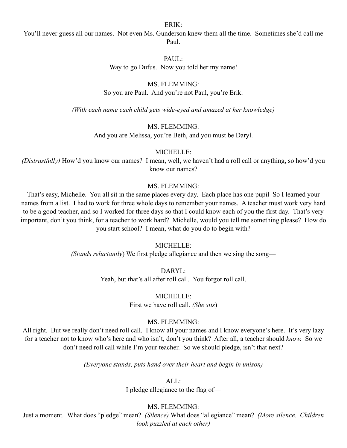ERIK:

You'll never guess all our names. Not even Ms. Gunderson knew them all the time. Sometimes she'd call me Paul.

#### PAUL:

Way to go Dufus. Now you told her my name!

#### MS. FLEMMING:

So you are Paul. And you're not Paul, you're Erik.

*(With each name each child gets wide-eyed and amazed at her knowledge)*

#### MS. FLEMMING:

And you are Melissa, you're Beth, and you must be Daryl.

#### MICHELLE:

*(Distrustfully)* How'd you know our names? I mean, well, we haven't had a roll call or anything, so how'd you know our names?

#### MS. FLEMMING:

That's easy, Michelle. You all sit in the same places every day. Each place has one pupil So I learned your names from a list. I had to work for three whole days to remember your names. A teacher must work very hard to be a good teacher, and so I worked for three days so that I could know each of you the first day. That's very important, don't you think, for a teacher to work hard? Michelle, would you tell me something please? How do you start school? I mean, what do you do to begin with?

#### MICHELLE:

*(Stands reluctantly*) We first pledge allegiance and then we sing the song—

DARYL:

Yeah, but that's all after roll call. You forgot roll call.

MICHELLE: First we have roll call. *(She sits*)

#### MS. FLEMMING:

All right. But we really don't need roll call. I know all your names and I know everyone's here. It's very lazy for a teacher not to know who's here and who isn't, don't you think? After all, a teacher should *know.* So we don't need roll call while I'm your teacher. So we should pledge, isn't that next?

*(Everyone stands, puts hand over their heart and begin in unison)*

 $AI.$ 

I pledge allegiance to the flag of—

#### MS. FLEMMING:

Just a moment. What does "pledge" mean? *(Silence)* What does "allegiance" mean? *(More silence. Children look puzzled at each other)*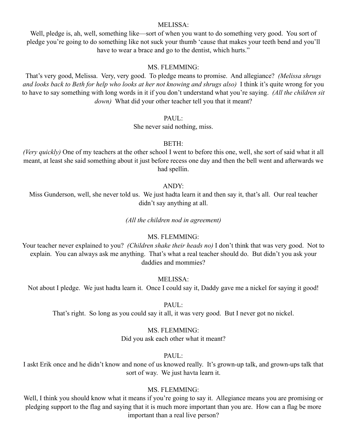#### MELISSA:

Well, pledge is, ah, well, something like—sort of when you want to do something very good. You sort of pledge you're going to do something like not suck your thumb 'cause that makes your teeth bend and you'll have to wear a brace and go to the dentist, which hurts."

#### MS. FLEMMING:

That's very good, Melissa. Very, very good. To pledge means to promise. And allegiance? *(Melissa shrugs and looks back to Beth for help who looks at her not knowing and shrugs also)* I think it's quite wrong for you to have to say something with long words in it if you don't understand what you're saying. *(All the children sit down)* What did your other teacher tell you that it meant?

PAUL:

She never said nothing, miss.

#### BETH:

*(Very quickly)* One of my teachers at the other school I went to before this one, well, she sort of said what it all meant, at least she said something about it just before recess one day and then the bell went and afterwards we had spellin.

#### ANDY:

Miss Gunderson, well, she never told us. We just hadta learn it and then say it, that's all. Our real teacher didn't say anything at all.

*(All the children nod in agreement)*

#### MS. FLEMMING:

Your teacher never explained to you? *(Children shake their heads no)* I don't think that was very good. Not to explain. You can always ask me anything. That's what a real teacher should do. But didn't you ask your daddies and mommies?

#### MELISSA:

Not about I pledge. We just hadta learn it. Once I could say it, Daddy gave me a nickel for saying it good!

PAUL:

That's right. So long as you could say it all, it was very good. But I never got no nickel.

#### MS. FLEMMING:

Did you ask each other what it meant?

#### PAUL:

I askt Erik once and he didn't know and none of us knowed really. It's grown-up talk, and grown-ups talk that sort of way. We just havta learn it.

#### MS. FLEMMING:

Well, I think you should know what it means if you're going to say it. Allegiance means you are promising or pledging support to the flag and saying that it is much more important than you are. How can a flag be more important than a real live person?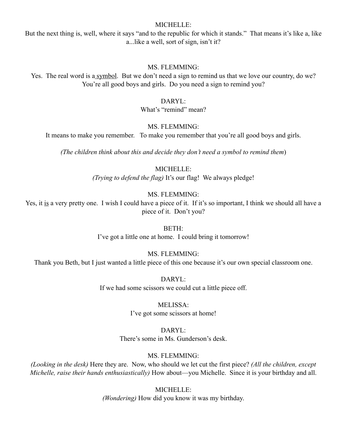#### MICHELLE:

But the next thing is, well, where it says "and to the republic for which it stands." That means it's like a, like a...like a well, sort of sign, isn't it?

#### MS. FLEMMING:

Yes. The real word is a symbol. But we don't need a sign to remind us that we love our country, do we? You're all good boys and girls. Do you need a sign to remind you?

#### DARYL:

What's "remind" mean?

#### MS. FLEMMING:

It means to make you remember. To make you remember that you're all good boys and girls.

*(The children think about this and decide they don't need a symbol to remind them*)

MICHELLE:

*(Trying to defend the flag)* It's our flag! We always pledge!

#### MS. FLEMMING:

Yes, it is a very pretty one. I wish I could have a piece of it. If it's so important, I think we should all have a piece of it. Don't you?

> BETH: I've got a little one at home. I could bring it tomorrow!

#### MS. FLEMMING:

Thank you Beth, but I just wanted a little piece of this one because it's our own special classroom one.

DARYL: If we had some scissors we could cut a little piece off.

#### MELISSA:

I've got some scissors at home!

#### DARYL:

There's some in Ms. Gunderson's desk.

#### MS. FLEMMING:

*(Looking in the desk)* Here they are. Now, who should we let cut the first piece? *(All the children, except Michelle, raise their hands enthusiastically)* How about—you Michelle. Since it is your birthday and all.

> MICHELLE: *(Wondering)* How did you know it was my birthday.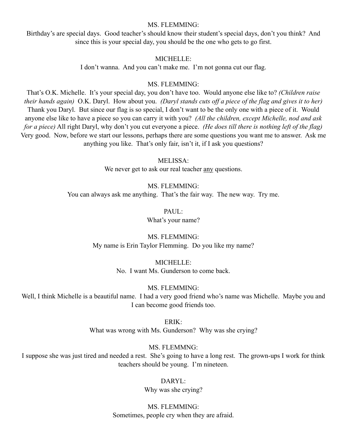#### MS. FLEMMING:

Birthday's are special days. Good teacher's should know their student's special days, don't you think? And since this is your special day, you should be the one who gets to go first.

#### MICHELLE:

I don't wanna. And you can't make me. I'm not gonna cut our flag.

#### MS. FLEMMING:

That's O.K. Michelle. It's your special day, you don't have too. Would anyone else like to? *(Children raise their hands again)* O.K. Daryl. How about you. *(Daryl stands cuts off a piece of the flag and gives it to her)* Thank you Daryl. But since our flag is so special, I don't want to be the only one with a piece of it. Would anyone else like to have a piece so you can carry it with you? *(All the children, except Michelle, nod and ask for a piece)* All right Daryl, why don't you cut everyone a piece. *(He does till there is nothing left of the flag)* Very good. Now, before we start our lessons, perhaps there are some questions you want me to answer. Ask me anything you like. That's only fair, isn't it, if I ask you questions?

#### MELISSA:

We never get to ask our real teacher any questions.

MS. FLEMMING: You can always ask me anything. That's the fair way. The new way. Try me.

> PAUL: What's your name?

MS. FLEMMING: My name is Erin Taylor Flemming. Do you like my name?

> MICHELLE: No. I want Ms. Gunderson to come back.

> > MS. FLEMMING:

Well, I think Michelle is a beautiful name. I had a very good friend who's name was Michelle. Maybe you and I can become good friends too.

ERIK:

What was wrong with Ms. Gunderson? Why was she crying?

MS. FLEMMNG:

I suppose she was just tired and needed a rest. She's going to have a long rest. The grown-ups I work for think teachers should be young. I'm nineteen.

> DARYL: Why was she crying?

MS. FLEMMING: Sometimes, people cry when they are afraid.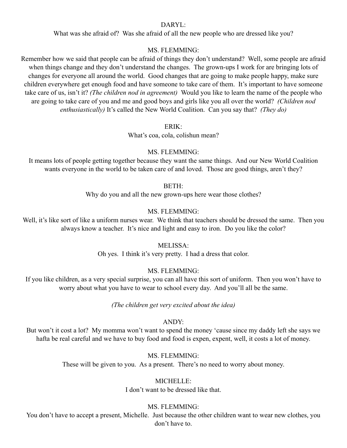#### DARYL:

What was she afraid of? Was she afraid of all the new people who are dressed like you?

#### MS. FLEMMING:

Remember how we said that people can be afraid of things they don't understand? Well, some people are afraid when things change and they don't understand the changes. The grown-ups I work for are bringing lots of changes for everyone all around the world. Good changes that are going to make people happy, make sure children everywhere get enough food and have someone to take care of them. It's important to have someone take care of us, isn't it? *(The children nod in agreement)* Would you like to learn the name of the people who are going to take care of you and me and good boys and girls like you all over the world? *(Children nod enthusiastically)* It's called the New World Coalition. Can you say that? *(They do)*

ERIK:

What's coa, cola, colishun mean?

#### MS. FLEMMING:

It means lots of people getting together because they want the same things. And our New World Coalition wants everyone in the world to be taken care of and loved. Those are good things, aren't they?

BETH:

Why do you and all the new grown-ups here wear those clothes?

#### MS. FLEMMING:

Well, it's like sort of like a uniform nurses wear. We think that teachers should be dressed the same. Then you always know a teacher. It's nice and light and easy to iron. Do you like the color?

#### MELISSA:

Oh yes. I think it's very pretty. I had a dress that color.

#### MS. FLEMMING:

If you like children, as a very special surprise, you can all have this sort of uniform. Then you won't have to worry about what you have to wear to school every day. And you'll all be the same.

*(The children get very excited about the idea)*

#### ANDY:

But won't it cost a lot? My momma won't want to spend the money 'cause since my daddy left she says we hafta be real careful and we have to buy food and food is expen, expent, well, it costs a lot of money.

#### MS. FLEMMING:

These will be given to you. As a present. There's no need to worry about money.

#### MICHELLE<sup>.</sup>

I don't want to be dressed like that.

#### MS. FLEMMING:

You don't have to accept a present, Michelle. Just because the other children want to wear new clothes, you don't have to.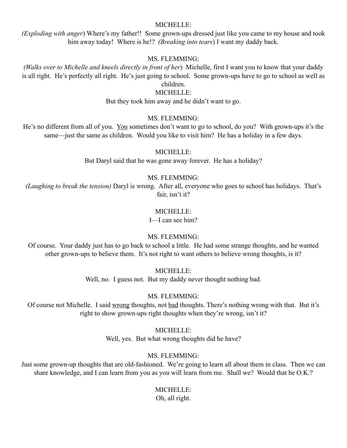#### MICHELLE:

*(Exploding with anger*) Where's my father!! Some grown-ups dressed just like you came to my house and took him away today! Where is he!? *(Breaking into tears*) I want my daddy back.

#### MS. FLEMMING:

*(Walks over to Michelle and kneels directly in front of her*) Michelle, first I want you to know that your daddy is all right. He's perfectly all right. He's just going to school. Some grown-ups have to go to school as well as children.

# MICHELLE:

But they took him away and he didn't want to go.

#### MS. FLEMMING:

He's no different from all of you. You sometimes don't want to go to school, do you? With grown-ups it's the same—just the same as children. Would you like to visit him? He has a holiday in a few days.

#### MICHELLE:

But Daryl said that he was gone away forever. He has a holiday?

#### MS. FLEMMING:

*(Laughing to break the tension)* Daryl is wrong. After all, everyone who goes to school has holidays. That's fair, isn't it?

#### MICHELLE:

I—I can see him?

#### MS. FLEMMING:

Of course. Your daddy just has to go back to school a little. He had some strange thoughts, and he wanted other grown-ups to believe them. It's not right to want others to believe wrong thoughts, is it?

MICHELLE:

Well, no. I guess not. But my daddy never thought nothing bad.

MS. FLEMMING:

Of course not Michelle. I said wrong thoughts, not bad thoughts. There's nothing wrong with that. But it's right to show grown-ups right thoughts when they're wrong, isn't it?

#### MICHELLE:

Well, yes. But what wrong thoughts did he have?

#### MS. FLEMMING:

Just some grown-up thoughts that are old-fashioned. We're going to learn all about them in class. Then we can share knowledge, and I can learn from you as you will learn from me. Shall we? Would that be O.K.?

# MICHELLE:

Oh, all right.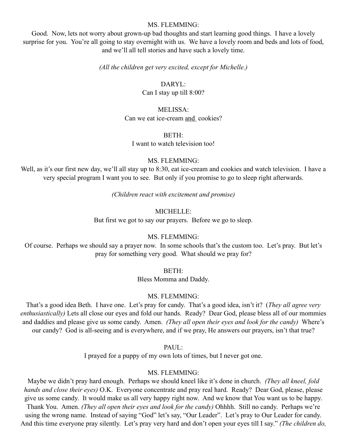#### MS. FLEMMING:

Good. Now, lets not worry about grown-up bad thoughts and start learning good things. I have a lovely surprise for you. You're all going to stay overnight with us. We have a lovely room and beds and lots of food, and we'll all tell stories and have such a lovely time.

#### *(All the children get very excited, except for Michelle.)*

#### DARYL:

Can I stay up till 8:00?

#### MELISSA:

Can we eat ice-cream and cookies?

#### BETH:

I want to watch television too!

#### MS. FLEMMING:

Well, as it's our first new day, we'll all stay up to 8:30, eat ice-cream and cookies and watch television. I have a very special program I want you to see. But only if you promise to go to sleep right afterwards.

*(Children react with excitement and promise)*

#### MICHELLE:

But first we got to say our prayers. Before we go to sleep.

#### MS. FLEMMING:

Of course. Perhaps we should say a prayer now. In some schools that's the custom too. Let's pray. But let's pray for something very good. What should we pray for?

#### BETH:

Bless Momma and Daddy.

#### MS. FLEMMING:

That's a good idea Beth. I have one. Let's pray for candy. That's a good idea, isn't it? (*They all agree very enthusiastically)* Lets all close our eyes and fold our hands. Ready? Dear God, please bless all of our mommies and daddies and please give us some candy. Amen. *(They all open their eyes and look for the candy)* Where's our candy? God is all-seeing and is everywhere, and if we pray, He answers our prayers, isn't that true?

#### PAUL:

I prayed for a puppy of my own lots of times, but I never got one.

#### MS. FLEMMING:

Maybe we didn't pray hard enough. Perhaps we should kneel like it's done in church. *(They all kneel, fold hands and close their eyes)* O.K. Everyone concentrate and pray real hard. Ready? Dear God, please, please give us some candy. It would make us all very happy right now. And we know that You want us to be happy. Thank You. Amen. *(They all open their eyes and look for the candy)* Ohhhh. Still no candy. Perhaps we're using the wrong name. Instead of saying "God" let's say, "Our Leader". Let's pray to Our Leader for candy. And this time everyone pray silently. Let's pray very hard and don't open your eyes till I say." *(The children do,*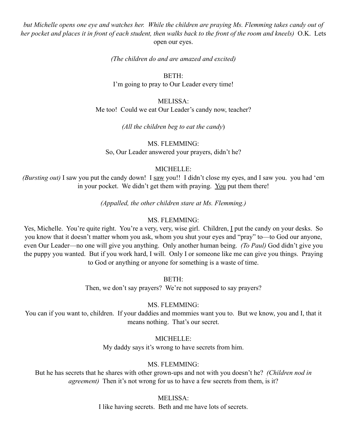*but Michelle opens one eye and watches her. While the children are praying Ms. Flemming takes candy out of her pocket and places it in front of each student, then walks back to the front of the room and kneels)* O.K. Lets open our eyes.

*(The children do and are amazed and excited)*

BETH: I'm going to pray to Our Leader every time!

MELISSA: Me too! Could we eat Our Leader's candy now, teacher?

*(All the children beg to eat the candy*)

MS. FLEMMING: So, Our Leader answered your prayers, didn't he?

#### MICHELLE:

*(Bursting out)* I saw you put the candy down! I saw you!! I didn't close my eyes, and I saw you. you had 'em in your pocket. We didn't get them with praying. You put them there!

*(Appalled, the other children stare at Ms. Flemming.)*

#### MS. FLEMMING:

Yes, Michelle. You're quite right. You're a very, very, wise girl. Children, I put the candy on your desks. So you know that it doesn't matter whom you ask, whom you shut your eyes and "pray" to—to God our anyone, even Our Leader—no one will give you anything. Only another human being. *(To Paul)* God didn't give you the puppy you wanted. But if you work hard, I will. Only I or someone like me can give you things. Praying to God or anything or anyone for something is a waste of time.

BETH:

Then, we don't say prayers? We're not supposed to say prayers?

#### MS. FLEMMING:

You can if you want to, children. If your daddies and mommies want you to. But we know, you and I, that it means nothing. That's our secret.

MICHELLE:

My daddy says it's wrong to have secrets from him.

#### MS. FLEMMING:

But he has secrets that he shares with other grown-ups and not with you doesn't he? *(Children nod in agreement*) Then it's not wrong for us to have a few secrets from them, is it?

MELISSA:

I like having secrets. Beth and me have lots of secrets.